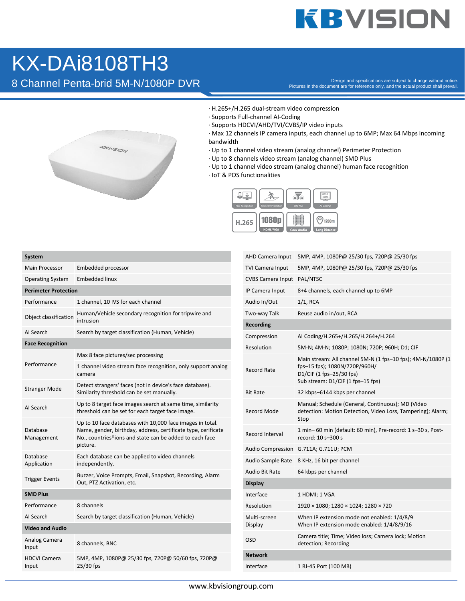## **KBVISION**

## KX-DAi8108TH3

Besign and specifications are subject to change without notice.<br>Pictures in the document are for reference only, and the actual product shall prevail.



- · H.265+/H.265 dual-stream video compression
- · Supports Full-channel AI-Coding
- · Supports HDCVI/AHD/TVI/CVBS/IP video inputs
- · Max 12 channels IP camera inputs, each channel up to 6MP; Max 64 Mbps incoming bandwidth
- · Up to 1 channel video stream (analog channel) Perimeter Protection
- · Up to 8 channels video stream (analog channel) SMD Plus
- · Up to 1 channel video stream (analog channel) human face recognition
- · IoT & POS functionalities



| <b>System</b>                |                                                                                                                                                                                                   |  |  |
|------------------------------|---------------------------------------------------------------------------------------------------------------------------------------------------------------------------------------------------|--|--|
| <b>Main Processor</b>        | Embedded processor                                                                                                                                                                                |  |  |
| <b>Operating System</b>      | <b>Embedded linux</b>                                                                                                                                                                             |  |  |
| <b>Perimeter Protection</b>  |                                                                                                                                                                                                   |  |  |
| Performance                  | 1 channel, 10 IVS for each channel                                                                                                                                                                |  |  |
| Object classification        | Human/Vehicle secondary recognition for tripwire and<br>intrusion                                                                                                                                 |  |  |
| AI Search                    | Search by target classification (Human, Vehicle)                                                                                                                                                  |  |  |
| <b>Face Recognition</b>      |                                                                                                                                                                                                   |  |  |
| Performance                  | Max 8 face pictures/sec processing                                                                                                                                                                |  |  |
|                              | 1 channel video stream face recognition, only support analog<br>camera                                                                                                                            |  |  |
| <b>Stranger Mode</b>         | Detect strangers' faces (not in device's face database).<br>Similarity threshold can be set manually.                                                                                             |  |  |
| AI Search                    | Up to 8 target face images search at same time, similarity<br>threshold can be set for each target face image.                                                                                    |  |  |
| Database<br>Management       | Up to 10 face databases with 10,000 face images in total.<br>Name, gender, birthday, address, certificate type, cerificate<br>No., countries®ions and state can be added to each face<br>picture. |  |  |
| Database<br>Application      | Each database can be applied to video channels<br>independently.                                                                                                                                  |  |  |
| <b>Trigger Events</b>        | Buzzer, Voice Prompts, Email, Snapshot, Recording, Alarm<br>Out, PTZ Activation, etc.                                                                                                             |  |  |
| <b>SMD Plus</b>              |                                                                                                                                                                                                   |  |  |
| Performance                  | 8 channels                                                                                                                                                                                        |  |  |
| AI Search                    | Search by target classification (Human, Vehicle)                                                                                                                                                  |  |  |
| <b>Video and Audio</b>       |                                                                                                                                                                                                   |  |  |
| Analog Camera<br>Input       | 8 channels, BNC                                                                                                                                                                                   |  |  |
| <b>HDCVI Camera</b><br>Input | 5MP, 4MP, 1080P@ 25/30 fps, 720P@ 50/60 fps, 720P@<br>25/30 fps                                                                                                                                   |  |  |

| <b>AHD Camera Input</b>    | 5MP, 4MP, 1080P@ 25/30 fps, 720P@ 25/30 fps                                                                                                                   |  |  |
|----------------------------|---------------------------------------------------------------------------------------------------------------------------------------------------------------|--|--|
| <b>TVI Camera Input</b>    | 5MP, 4MP, 1080P@ 25/30 fps, 720P@ 25/30 fps                                                                                                                   |  |  |
| CVBS Camera Input PAL/NTSC |                                                                                                                                                               |  |  |
| IP Camera Input            | 8+4 channels, each channel up to 6MP                                                                                                                          |  |  |
| Audio In/Out               | $1/1$ , RCA                                                                                                                                                   |  |  |
| Two-way Talk               | Reuse audio in/out, RCA                                                                                                                                       |  |  |
| <b>Recording</b>           |                                                                                                                                                               |  |  |
| Compression                | AI Coding/H.265+/H.265/H.264+/H.264                                                                                                                           |  |  |
| Resolution                 | 5M-N; 4M-N; 1080P; 1080N; 720P; 960H; D1; CIF                                                                                                                 |  |  |
| <b>Record Rate</b>         | Main stream: All channel 5M-N (1 fps-10 fps); 4M-N/1080P (1<br>fps-15 fps); 1080N/720P/960H/<br>D1/CIF (1 fps-25/30 fps)<br>Sub stream: D1/CIF (1 fps-15 fps) |  |  |
| <b>Bit Rate</b>            | 32 kbps-6144 kbps per channel                                                                                                                                 |  |  |
| <b>Record Mode</b>         | Manual; Schedule (General, Continuous); MD (Video<br>detection: Motion Detection, Video Loss, Tampering); Alarm;<br>Stop                                      |  |  |
| Record Interval            | 1 min– 60 min (default: 60 min), Pre-record: 1 s–30 s, Post-<br>record: 10 s-300 s                                                                            |  |  |
| <b>Audio Compression</b>   | G.711A; G.711U; PCM                                                                                                                                           |  |  |
| Audio Sample Rate          | 8 KHz, 16 bit per channel                                                                                                                                     |  |  |
| Audio Bit Rate             | 64 kbps per channel                                                                                                                                           |  |  |
| <b>Display</b>             |                                                                                                                                                               |  |  |
| Interface                  | 1 HDMI; 1 VGA                                                                                                                                                 |  |  |
| Resolution                 | 1920 × 1080; 1280 × 1024; 1280 × 720                                                                                                                          |  |  |
| Multi-screen<br>Display    | When IP extension mode not enabled: 1/4/8/9<br>When IP extension mode enabled: 1/4/8/9/16                                                                     |  |  |
| <b>OSD</b>                 | Camera title; Time; Video loss; Camera lock; Motion<br>detection; Recording                                                                                   |  |  |
| <b>Network</b>             |                                                                                                                                                               |  |  |
| Interface                  | 1 RJ-45 Port (100 MB)                                                                                                                                         |  |  |